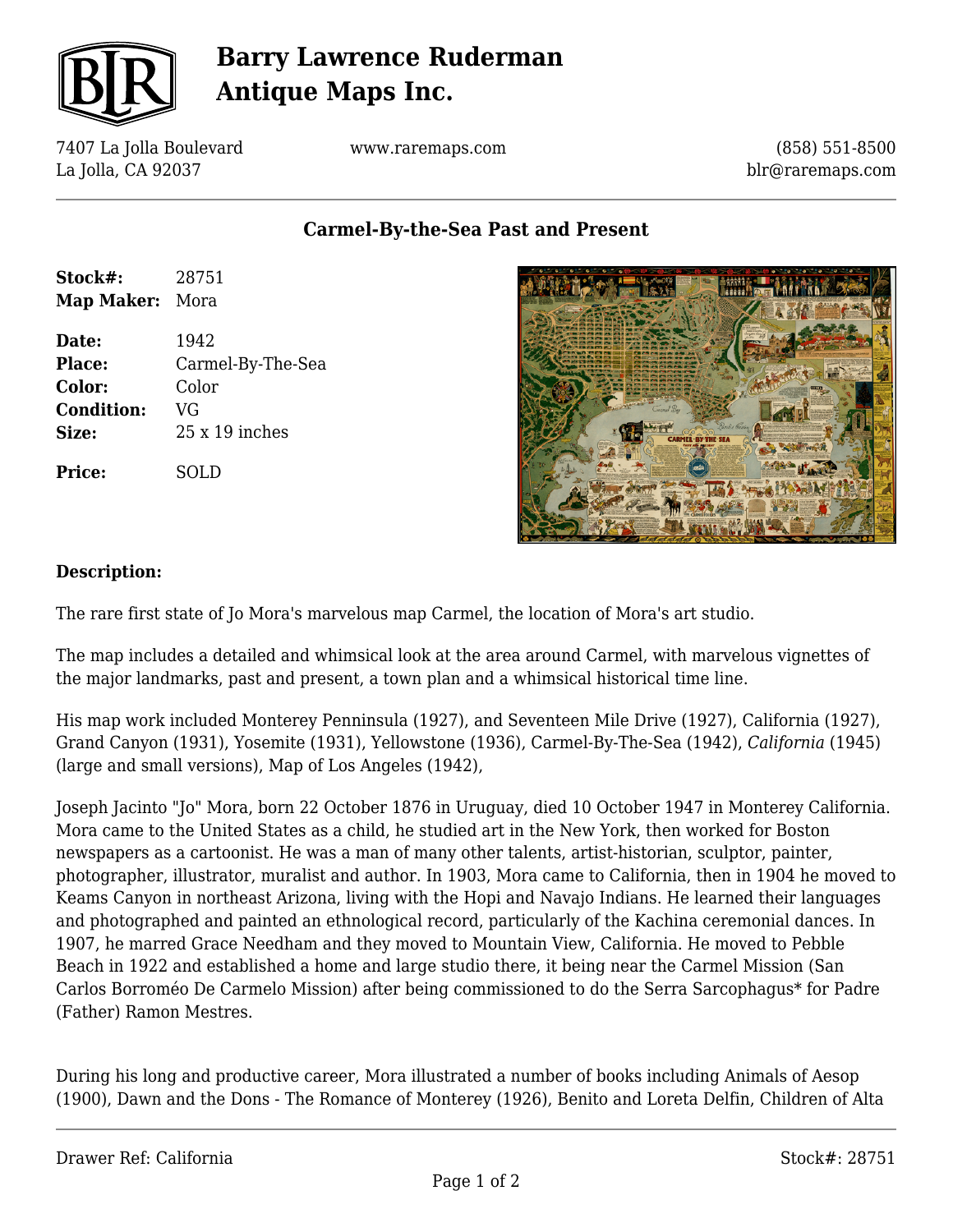

# **Barry Lawrence Ruderman Antique Maps Inc.**

7407 La Jolla Boulevard La Jolla, CA 92037

www.raremaps.com

(858) 551-8500 blr@raremaps.com

### **Carmel-By-the-Sea Past and Present**

| Stock#:<br>Map Maker: | 28751<br>Mora     |
|-----------------------|-------------------|
|                       |                   |
| Place:                | Carmel-By-The-Sea |
| Color:                | Color             |
| <b>Condition:</b>     | VG                |
| Size:                 | $25x19$ inches    |
| <b>Price:</b>         | SOLD              |



#### **Description:**

The rare first state of Jo Mora's marvelous map Carmel, the location of Mora's art studio.

The map includes a detailed and whimsical look at the area around Carmel, with marvelous vignettes of the major landmarks, past and present, a town plan and a whimsical historical time line.

His map work included Monterey Penninsula (1927), and Seventeen Mile Drive (1927), California (1927), Grand Canyon (1931), Yosemite (1931), Yellowstone (1936), Carmel-By-The-Sea (1942), *California* (1945) (large and small versions), Map of Los Angeles (1942),

Joseph Jacinto "Jo" Mora, born 22 October 1876 in Uruguay, died 10 October 1947 in Monterey California. Mora came to the United States as a child, he studied art in the New York, then worked for Boston newspapers as a cartoonist. He was a man of many other talents, artist-historian, sculptor, painter, photographer, illustrator, muralist and author. In 1903, Mora came to California, then in 1904 he moved to Keams Canyon in northeast Arizona, living with the Hopi and Navajo Indians. He learned their languages and photographed and painted an ethnological record, particularly of the Kachina ceremonial dances. In 1907, he marred Grace Needham and they moved to Mountain View, California. He moved to Pebble Beach in 1922 and established a home and large studio there, it being near the Carmel Mission (San Carlos Borroméo De Carmelo Mission) after being commissioned to do the Serra Sarcophagus\* for Padre (Father) Ramon Mestres.

During his long and productive career, Mora illustrated a number of books including Animals of Aesop (1900), Dawn and the Dons - The Romance of Monterey (1926), Benito and Loreta Delfin, Children of Alta